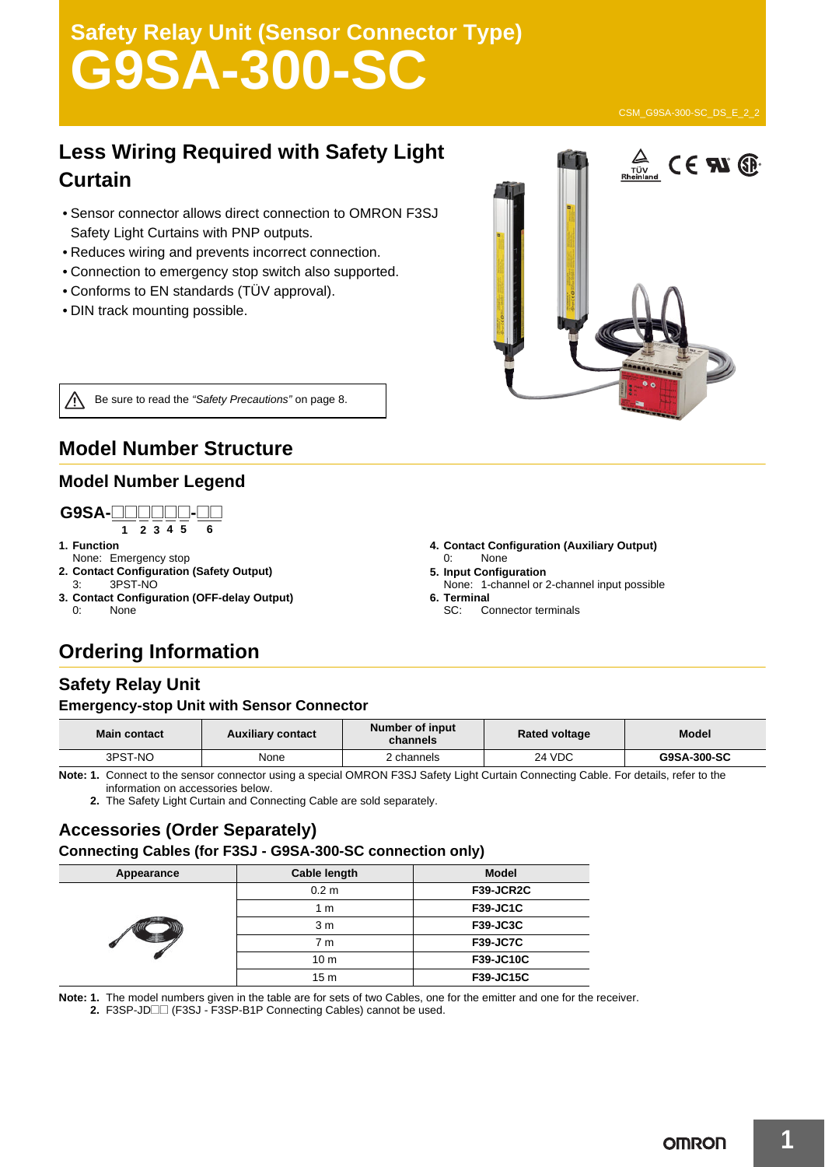# **Safety Relay Unit (Sensor Connector Type) G9SA-300-SC**

### **Less Wiring Required with Safety Light Curtain**

- Sensor connector allows direct connection to OMRON F3SJ Safety Light Curtains with PNP outputs.
- Reduces wiring and prevents incorrect connection.
- Connection to emergency stop switch also supported.
- Conforms to EN standards (TÜV approval).
- DIN track mounting possible.



Be sure to read the *"Safety Precautions"* on page 8.

### **Model Number Structure**

#### **Model Number Legend**

#### **1 2 3 4 5 6 G9SA-**@@@@@@**-**@@

- **1. Function**
- None: Emergency stop
- **2. Contact Configuration (Safety Output)** 3PST-NO
- **3. Contact Configuration (OFF-delay Output)**
- 0: None
- **4. Contact Configuration (Auxiliary Output)** 0: None
- **5. Input Configuration**
- None: 1-channel or 2-channel input possible
- **6. Terminal**
	- SC: Connector terminals

### **Ordering Information**

### **Safety Relay Unit**

#### **Emergency-stop Unit with Sensor Connector**

| <b>Main contact</b> | <b>Auxiliary contact</b> | Number of input<br>channels                                    | <b>Rated voltage</b> | Model       |
|---------------------|--------------------------|----------------------------------------------------------------|----------------------|-------------|
| 3PST-NO             | None                     | 2 channels                                                     | 24 VDC               | G9SA-300-SC |
| $\cdots$ $\cdots$   |                          | $\cdots$ $\cdots$ $\cdots$ $\cdots$ $\cdots$ $\cdots$ $\cdots$ |                      |             |

**Note: 1.** Connect to the sensor connector using a special OMRON F3SJ Safety Light Curtain Connecting Cable. For details, refer to the information on accessories below.

**2.** The Safety Light Curtain and Connecting Cable are sold separately.

#### **Accessories (Order Separately) Connecting Cables (for F3SJ - G9SA-300-SC connection only)**

| Appearance | Cable length     | <b>Model</b>     |
|------------|------------------|------------------|
|            | 0.2 <sub>m</sub> | F39-JCR2C        |
|            | 1 <sub>m</sub>   | <b>F39-JC1C</b>  |
|            | 3 <sub>m</sub>   | <b>F39-JC3C</b>  |
|            | 7 m              | <b>F39-JC7C</b>  |
|            | 10 <sub>m</sub>  | F39-JC10C        |
|            | 15 <sub>m</sub>  | <b>F39-JC15C</b> |

**Note: 1.** The model numbers given in the table are for sets of two Cables, one for the emitter and one for the receiver.

**2.** F3SP-JD□□ (F3SJ - F3SP-B1P Connecting Cables) cannot be used.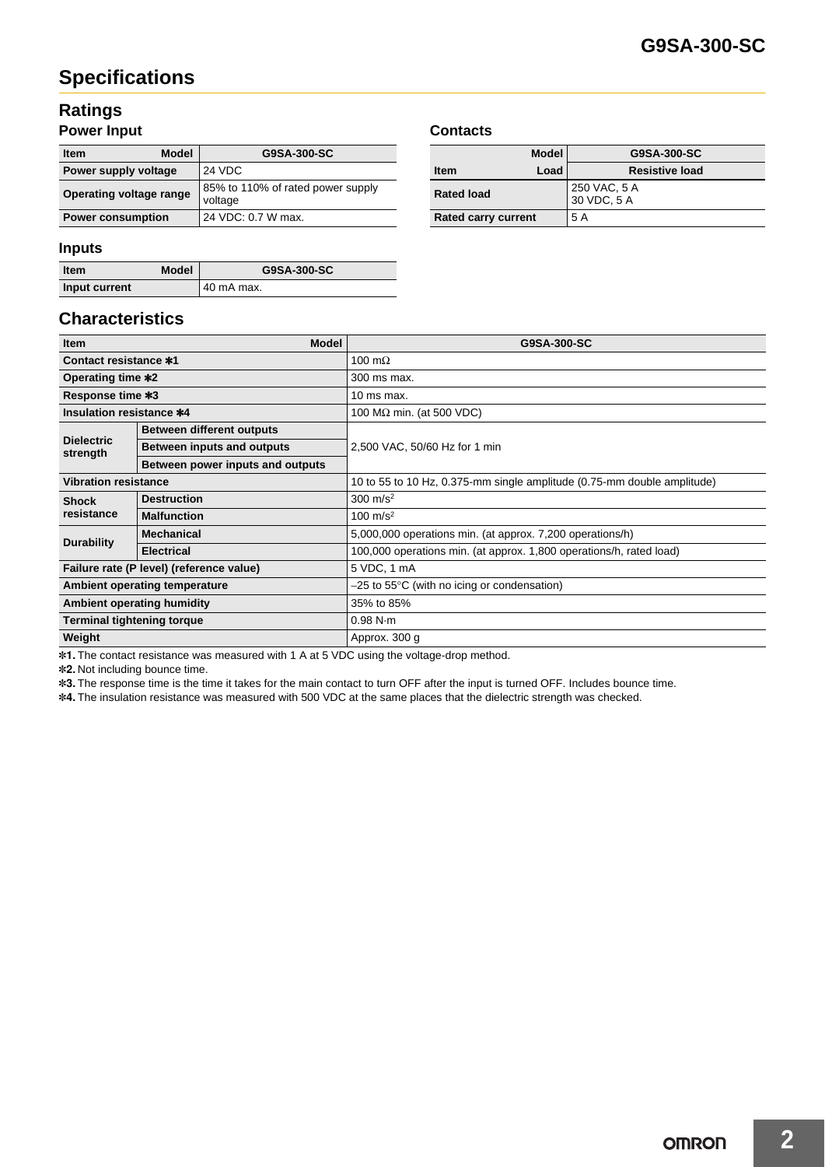### **Specifications**

### **Ratings**

#### **Power Input**

| <b>Model</b><br><b>Item</b> | G9SA-300-SC                                  |  |
|-----------------------------|----------------------------------------------|--|
| Power supply voltage        | 24 VDC                                       |  |
| Operating voltage range     | 85% to 110% of rated power supply<br>voltage |  |
| <b>Power consumption</b>    | 24 VDC: 0.7 W max.                           |  |

#### **Inputs**

| <b>Item</b>   | <b>Model</b> | G9SA-300-SC |
|---------------|--------------|-------------|
| Input current |              | 40 mA max.  |

### **Characteristics**

| <b>Item</b>                              | <b>Model</b>                     | G9SA-300-SC                                                             |  |
|------------------------------------------|----------------------------------|-------------------------------------------------------------------------|--|
| <b>Contact resistance *1</b>             |                                  | 100 m $\Omega$                                                          |  |
| Operating time *2                        |                                  | 300 ms max.                                                             |  |
| Response time *3                         |                                  | 10 ms max.                                                              |  |
| Insulation resistance *4                 |                                  | 100 $M\Omega$ min. (at 500 VDC)                                         |  |
| <b>Dielectric</b><br>strength            | <b>Between different outputs</b> |                                                                         |  |
|                                          | Between inputs and outputs       | 2,500 VAC, 50/60 Hz for 1 min                                           |  |
|                                          | Between power inputs and outputs |                                                                         |  |
| <b>Vibration resistance</b>              |                                  | 10 to 55 to 10 Hz, 0.375-mm single amplitude (0.75-mm double amplitude) |  |
| <b>Shock</b>                             | <b>Destruction</b>               | $300 \text{ m/s}^2$                                                     |  |
| resistance                               | <b>Malfunction</b>               | 100 m/s <sup>2</sup>                                                    |  |
| <b>Durability</b>                        | <b>Mechanical</b>                | 5,000,000 operations min. (at approx. 7,200 operations/h)               |  |
|                                          | <b>Electrical</b>                | 100,000 operations min. (at approx. 1,800 operations/h, rated load)     |  |
| Failure rate (P level) (reference value) |                                  | 5 VDC, 1 mA                                                             |  |
| Ambient operating temperature            |                                  | $-25$ to 55 $\degree$ C (with no icing or condensation)                 |  |
| <b>Ambient operating humidity</b>        |                                  | 35% to 85%                                                              |  |
| <b>Terminal tightening torque</b>        |                                  | 0.98 N·m                                                                |  |
| Weight                                   |                                  | Approx. 300 g                                                           |  |

\*1. The contact resistance was measured with 1 A at 5 VDC using the voltage-drop method.

\*2. Not including bounce time.

\*3. The response time is the time it takes for the main contact to turn OFF after the input is turned OFF. Includes bounce time.

\*4. The insulation resistance was measured with 500 VDC at the same places that the dielectric strength was checked.

#### **Contacts**

| <b>Model</b>               | G9SA-300-SC                 |
|----------------------------|-----------------------------|
| Load<br><b>Item</b>        | <b>Resistive load</b>       |
| <b>Rated load</b>          | 250 VAC, 5 A<br>30 VDC, 5 A |
| <b>Rated carry current</b> | 5 A                         |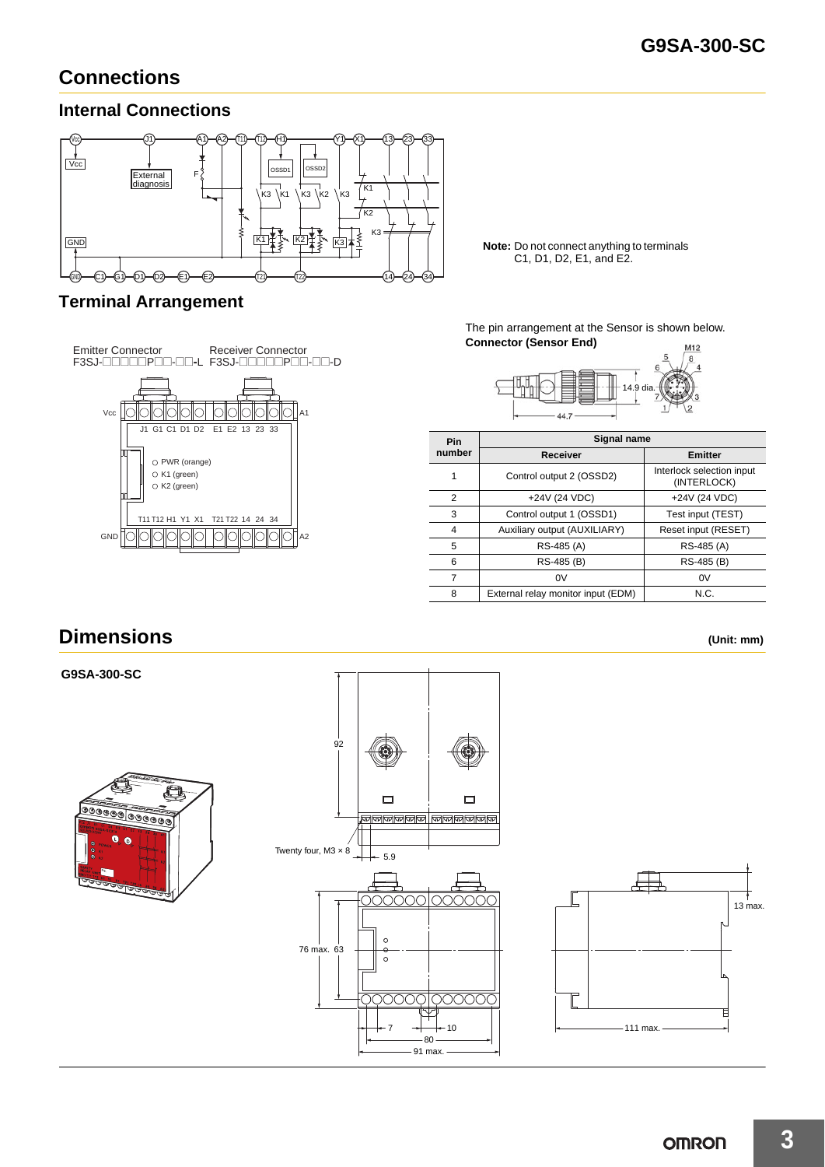### **Connections**

### **Internal Connections**



C1, D1, D2, E1, and E2.

## **Terminal Arrangement**



The pin arrangement at the Sensor is shown below. **Connector (Sensor End)** M12



| <b>Pin</b> | Signal name                        |                                          |  |  |
|------------|------------------------------------|------------------------------------------|--|--|
| number     | <b>Receiver</b>                    | <b>Emitter</b>                           |  |  |
| 1          | Control output 2 (OSSD2)           | Interlock selection input<br>(INTERLOCK) |  |  |
| 2          | +24V (24 VDC)                      | +24V (24 VDC)                            |  |  |
| 3          | Control output 1 (OSSD1)           | Test input (TEST)                        |  |  |
| 4          | Auxiliary output (AUXILIARY)       | Reset input (RESET)                      |  |  |
| 5          | RS-485 (A)                         | RS-485 (A)                               |  |  |
| 6          | RS-485 (B)                         | RS-485 (B)                               |  |  |
|            | 0V                                 | 0V                                       |  |  |
| 8          | External relay monitor input (EDM) | N.C.                                     |  |  |

### **Dimensions (Unit: mm)**

**G9SA-300-SC**







13 max.

E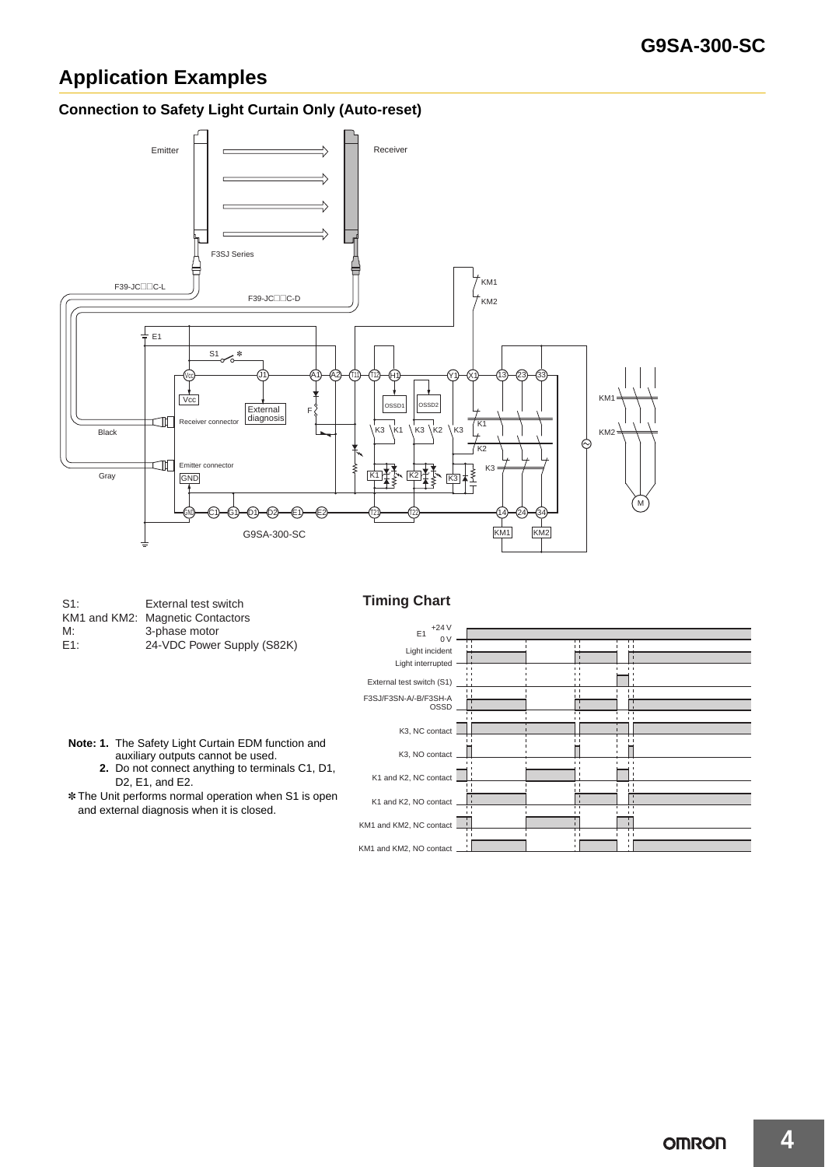### **Application Examples**

#### **Connection to Safety Light Curtain Only (Auto-reset)**



| $S1$ : | External test switch             |
|--------|----------------------------------|
|        | KM1 and KM2: Magnetic Contactors |
| M:     | 3-phase motor                    |
| E1:    | 24-VDC Power Supply (S82k        |

**Timing Chart** 

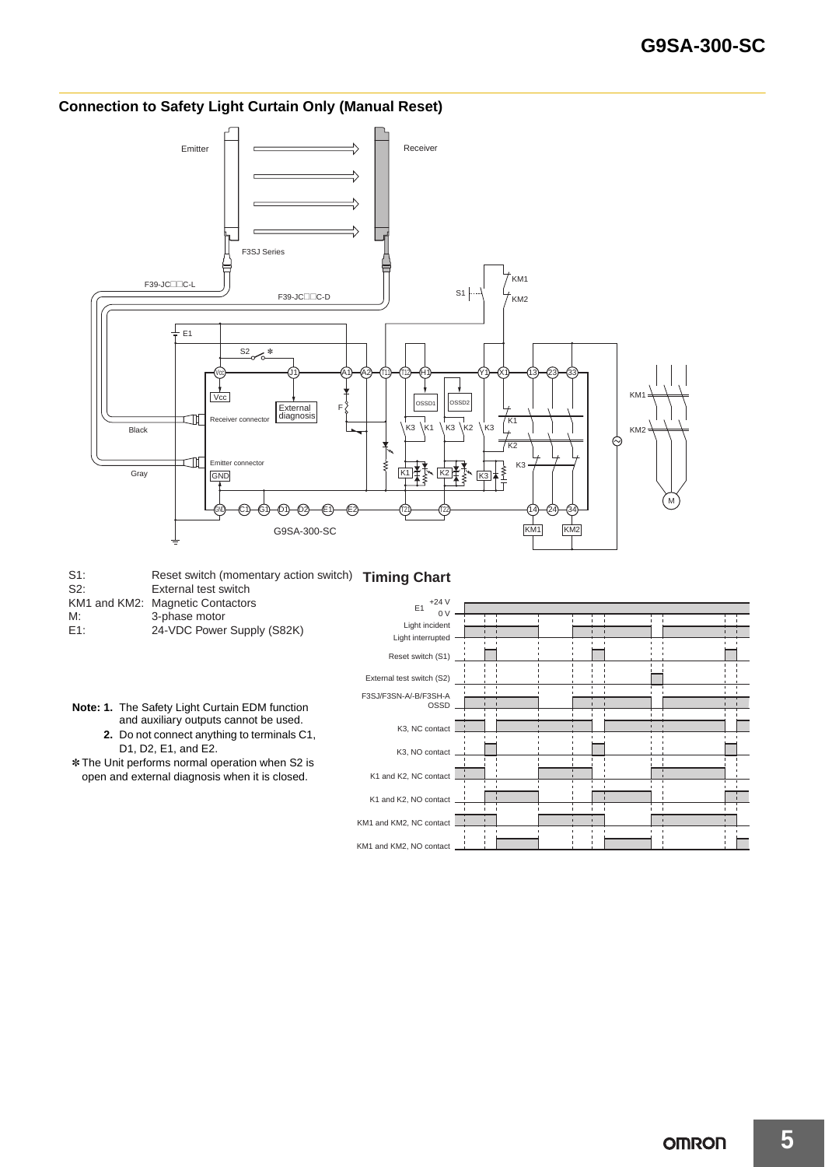

#### **Connection to Safety Light Curtain Only (Manual Reset)**

S1: Reset switch (momentary action switch) Timing Chart S2: External test switch KM1 and KM2: Magnetic Contactors<br>M: 3-phase motor M: 3-phase motor<br>E1: 24-VDC Power 24-VDC Power Supply (S82K)

- **Note: 1.** The Safety Light Curtain EDM function and auxiliary outputs cannot be used.
	- **2.** Do not connect anything to terminals C1, D1, D2, E1, and E2.

\* The Unit performs normal operation when S2 is open and external diagnosis when it is closed.

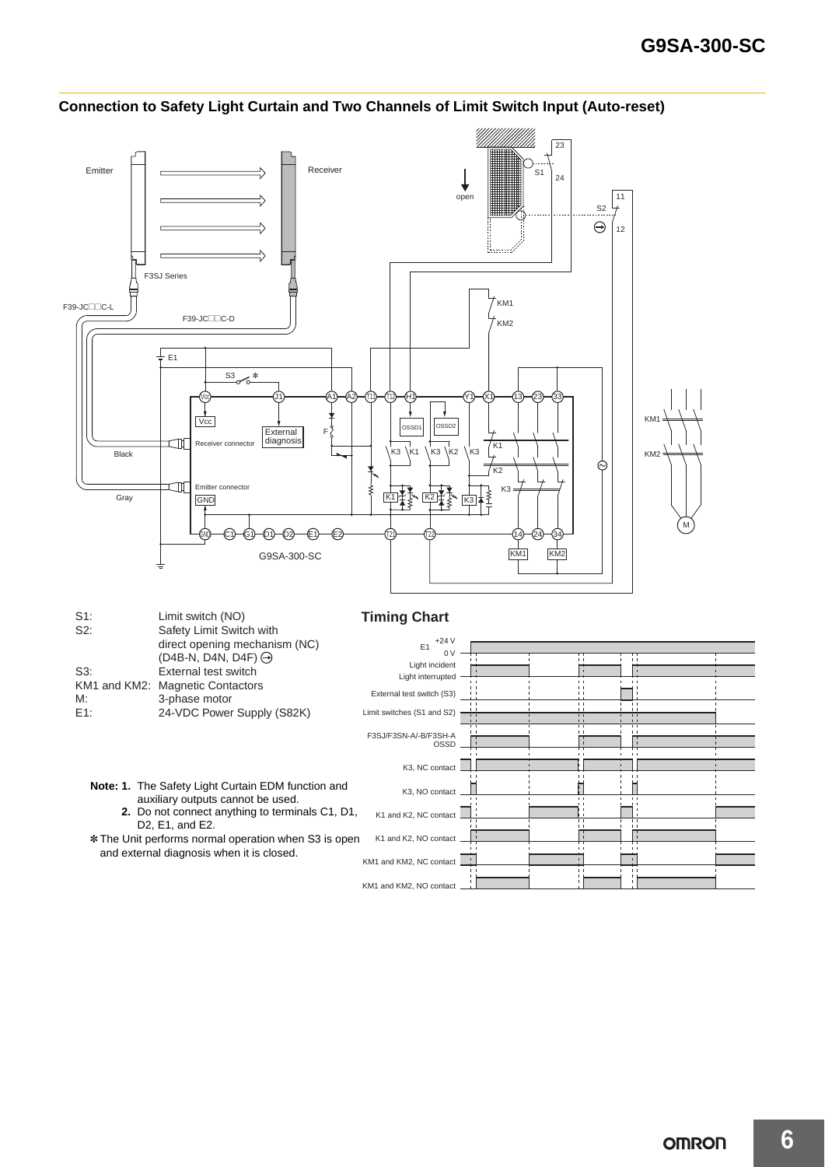

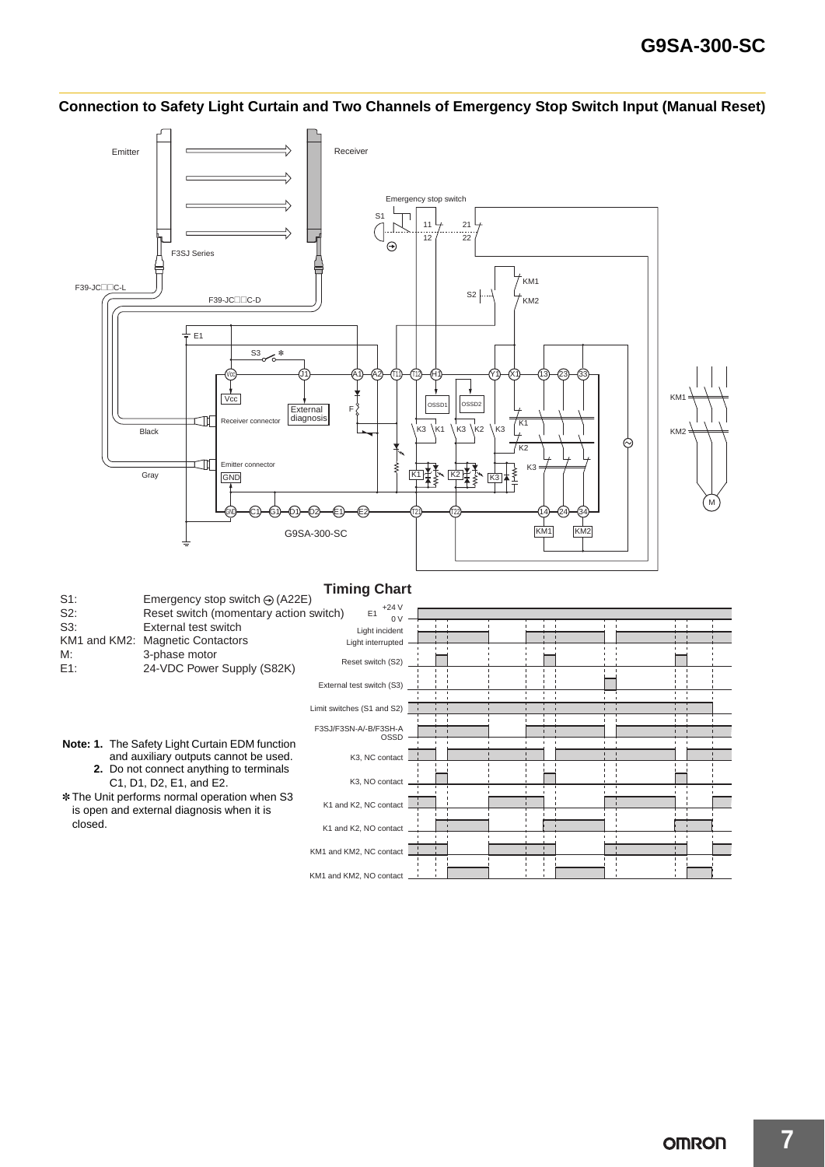

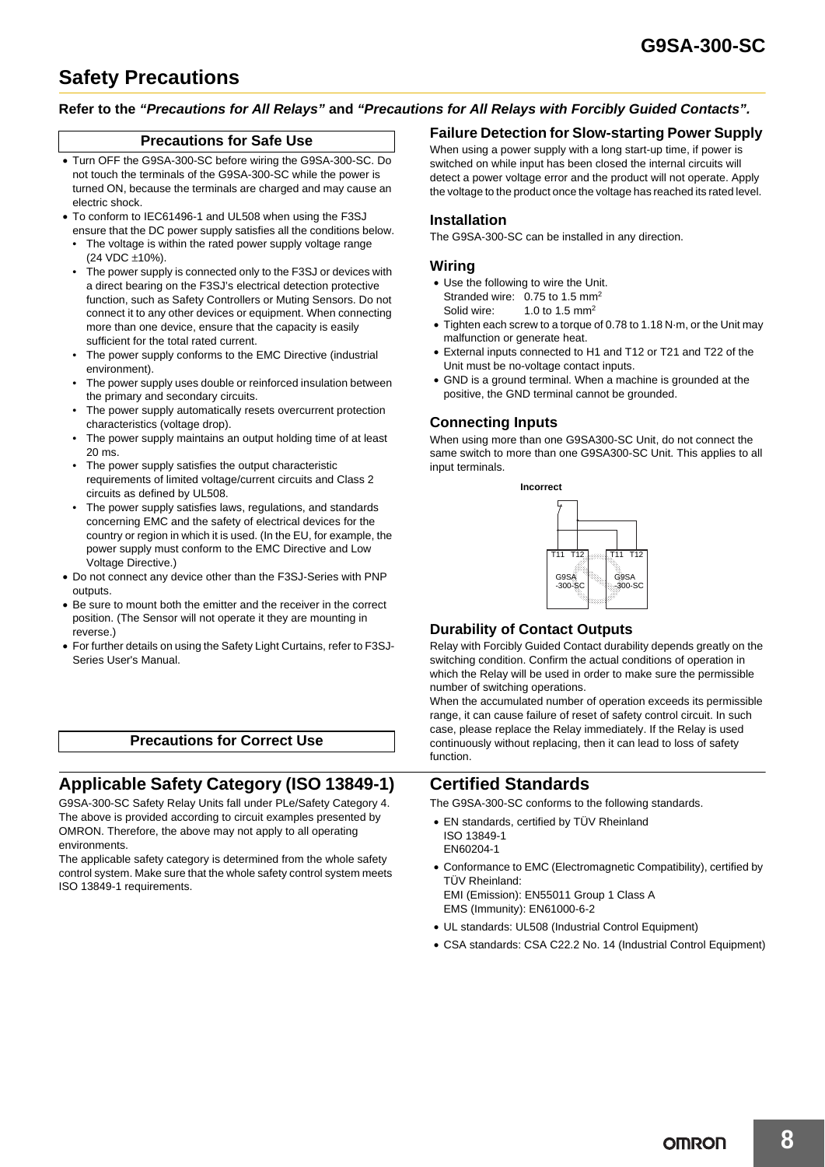### **Safety Precautions**

#### **Refer to the** *"Precautions for All Relays"* **and** *"Precautions for All Relays with Forcibly Guided Contacts".*

#### **Precautions for Safe Use**

- Turn OFF the G9SA-300-SC before wiring the G9SA-300-SC. Do not touch the terminals of the G9SA-300-SC while the power is turned ON, because the terminals are charged and may cause an electric shock.
- To conform to IEC61496-1 and UL508 when using the F3SJ ensure that the DC power supply satisfies all the conditions below.
- The voltage is within the rated power supply voltage range (24 VDC ±10%).
- The power supply is connected only to the F3SJ or devices with a direct bearing on the F3SJ's electrical detection protective function, such as Safety Controllers or Muting Sensors. Do not connect it to any other devices or equipment. When connecting more than one device, ensure that the capacity is easily sufficient for the total rated current.
- The power supply conforms to the EMC Directive (industrial environment).
- The power supply uses double or reinforced insulation between the primary and secondary circuits.
- The power supply automatically resets overcurrent protection characteristics (voltage drop).
- The power supply maintains an output holding time of at least 20 ms.
- The power supply satisfies the output characteristic requirements of limited voltage/current circuits and Class 2 circuits as defined by UL508.
- The power supply satisfies laws, regulations, and standards concerning EMC and the safety of electrical devices for the country or region in which it is used. (In the EU, for example, the power supply must conform to the EMC Directive and Low Voltage Directive.)
- Do not connect any device other than the F3SJ-Series with PNP **outputs**
- Be sure to mount both the emitter and the receiver in the correct position. (The Sensor will not operate it they are mounting in reverse.)
- For further details on using the Safety Light Curtains, refer to F3SJ-Series User's Manual.

#### **Precautions for Correct Use**

### **Applicable Safety Category (ISO 13849-1)**

G9SA-300-SC Safety Relay Units fall under PLe/Safety Category 4. The above is provided according to circuit examples presented by OMRON. Therefore, the above may not apply to all operating environments.

The applicable safety category is determined from the whole safety control system. Make sure that the whole safety control system meets ISO 13849-1 requirements.

#### **Failure Detection for Slow-starting Power Supply**

When using a power supply with a long start-up time, if power is switched on while input has been closed the internal circuits will detect a power voltage error and the product will not operate. Apply the voltage to the product once the voltage has reached its rated level.

#### **Installation**

The G9SA-300-SC can be installed in any direction.

#### **Wiring**

- Use the following to wire the Unit. Stranded wire: 0.75 to 1.5 mm<sup>2</sup>
- Solid wire: 1.0 to 1.5 mm<sup>2</sup>
- Tighten each screw to a torque of 0.78 to 1.18 N·m, or the Unit may malfunction or generate heat.
- External inputs connected to H1 and T12 or T21 and T22 of the Unit must be no-voltage contact inputs.
- GND is a ground terminal. When a machine is grounded at the positive, the GND terminal cannot be grounded.

#### **Connecting Inputs**

When using more than one G9SA300-SC Unit, do not connect the same switch to more than one G9SA300-SC Unit. This applies to all input terminals.



#### **Durability of Contact Outputs**

Relay with Forcibly Guided Contact durability depends greatly on the switching condition. Confirm the actual conditions of operation in which the Relay will be used in order to make sure the permissible number of switching operations.

When the accumulated number of operation exceeds its permissible range, it can cause failure of reset of safety control circuit. In such case, please replace the Relay immediately. If the Relay is used continuously without replacing, then it can lead to loss of safety function.

### **Certified Standards**

The G9SA-300-SC conforms to the following standards.

- EN standards, certified by TÜV Rheinland ISO 13849-1 EN60204-1
- Conformance to EMC (Electromagnetic Compatibility), certified by TÜV Rheinland:

EMI (Emission): EN55011 Group 1 Class A EMS (Immunity): EN61000-6-2

- UL standards: UL508 (Industrial Control Equipment)
- CSA standards: CSA C22.2 No. 14 (Industrial Control Equipment)